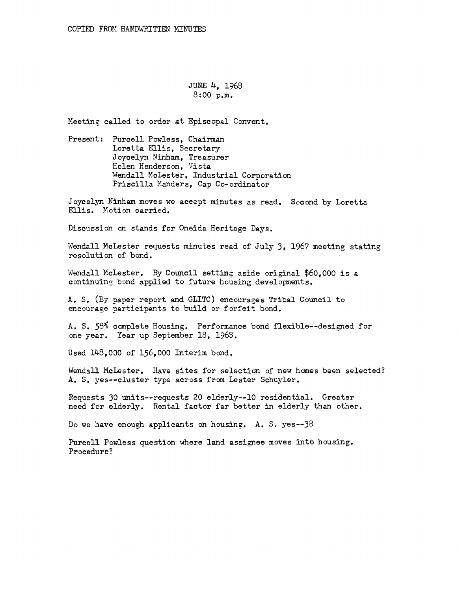JUNE 4, 1968 8:00 p.m.

Meeting called to order at Episcopal Convent.

Present: Purcell Powless, Chairman Loretta Ellis, Secretary Joycelyn Ninham, Treasurer Helen Henderson, Vista Wendall McLester, Industrial Corporation Priscilla Manders, Cap Co-ordinator

Joycelyn Ninham moves we aceept minutes as read. Second by Loretta Ellis. Motion carried.

Discussion on stands for Oneida Heritage Days.

Wendall McLester requests minutes read of July 3, 1967 meeting stating resolution of bond.

Wendall McLester. By Council setting aside original \$60,000 is a continuing bond applied to future housing developments.

A. S. (By paper report and GLITC) encourages Tribal Council to encourage participants to build or forfeit bond.

A. S. 58% complete Housing. Performance bond flexible--designed for one year. Year up September 18, 1963.

Used 143,0QO of 156,000 Interim bond.

Wendall McLester. Have sites for selection of new homes been selected? A. S. yes--cluster type across from Lester Schuyler.

Requests 30 units--requests 20 elderly--10 residential. Greater need for elderly. Rental factor far better in elderly than other.

Do we have enough applicants on housing. A. S. yes--38

Purcell Powless question where land assignee moves into housing. Procedure?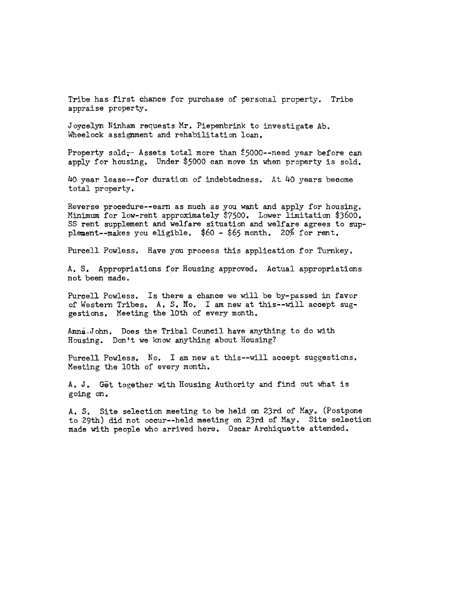Tribe has first chance for purchase of personal property. Tribe appraise property.

J oycelyn Ninham requests Mr. Piepenbrink to investigate Ab. Wheelock assignment and rehabilitation loan.

Property sold $_{\tau}$  Assets total more than \$5000--need year before can apply for housing. Under \$5000 can move in when property is sold.

4o year lease--for duration of indebtedness. At 40 years become total property.

Reverse procedure--earn as much as you want and apply for housing. Minimum for low-rent approximately \$7500. Lower limitation \$3600. SS rent supplement and welfare situation and welfare agrees to supplement--makes you eligible. \$60 - \$65 month. 2o% for rent.

Purcell Powless. Have you process this application for Turnkey.

A. s. Appropriations for Housing approved. Actual appropriations not been made.

Purcell Powless. Is there a chance we will be by-passed in favor of Western Tribes. A. s. No. I am new at this--will accept suggestions. Meeting the lOth of every month.

Anna.John. Does the Tribal Council have anything to do with Housing. Don't we know anything about Housing?

Purcell Powless. No. I am new at this--will accept suggestions. Meeting the lOth of every month.

A. J. Get together with Housing Authority and find out what is going on.

A. s. Site selection meeting to be held an 23rd of May. (Postpone to 29th) did not occur--held meeting on 23rd of May. Site selection made with people who arrived here. Oscar Archiquette attended.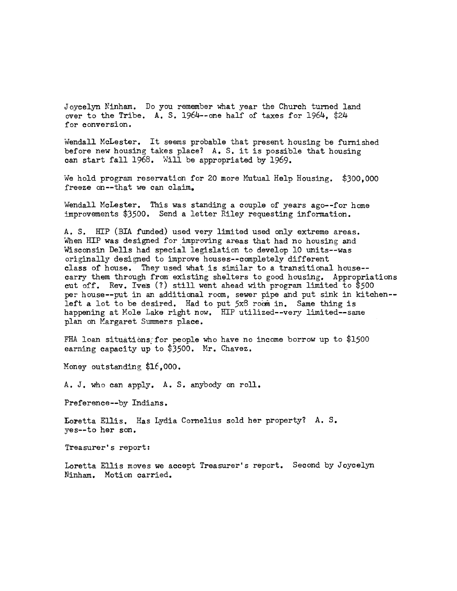J oycelyn Ninham. Do you remember what year the Church turned land over to the Tribe. A. S. 1964--one half of taxes for 1964, \$24 for conversion.

wendall McLester. It seems probable that present housing be furnished before new housing takes place? A. S. it is possible that housing can start fall 1968. Will be appropriated by 1969.

We hold program reservation for 20 more Mutual Help Housing. \$300,000 freeze on--that we can claim.

Wendall McLester. This was standing a couple of years ago--for home improvements \$3500. Send a letter Riley requesting information.

A. S. HIP (BIA funded) used very limited used only extreme areas. When HIP was designed for improving areas that had no housing and Wisconsin Dells had special legislation to develop 10 units--was originally designed to improve houses--completely different class of house. They used what is similar to a transitional house-carry them through from existing shelters to good housing. Appropriations cut off. Rev. Ives  $(?)$  still went ahead with program limited to \$500 per house--put in an additional room, sewer pipe and put sink in kitchen-left a lot to be desired. Had to put 5x8 room in. Same thing is happening at Hole Lake right now. HIP utilized--very limited--same plan on Margaret Summers place.

FHA loan situations:for people who have no income borrow up to \$1500 earning capacity up to \$3500. Hr. Chavez.

Money outstanding \$16,000.

A. J. who can apply. A. S. anybody on roll.

Preference--by Indians.

Loretta Ellis. Has Lydia Cornelius sold her property? A. S. yes--to her son.

Treasurer's report:

Loretta Ellis moves we accept Treasurer's report. Second by Joycelyn Ninham. Motion carried.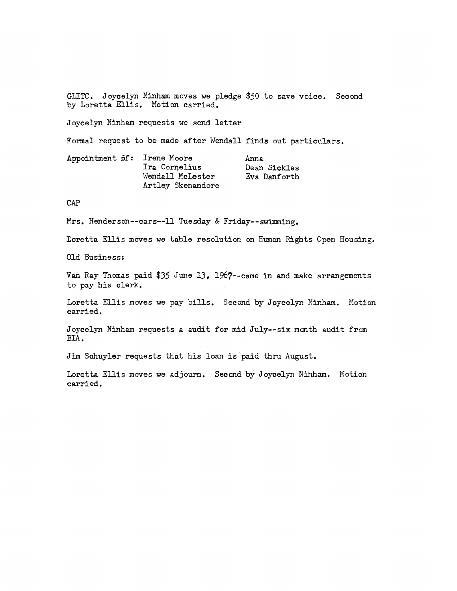GLITC. Joycelyn Ninham moves we pledge \$50 to save voice. Second by Loretta Ellis. Motion carried.

Joycelyn Ninham requests we send letter

Formal request to be made after Wendall finds out particulars.

| Appointment of: Irene Moore | Ira Cornelius                         | Anna<br>Dean Sickles |
|-----------------------------|---------------------------------------|----------------------|
|                             | Wendall McLester<br>Artley Skenandore | Eva Danforth         |

## CAP

Mrs. Henderson--cars--11 Tuesday & Friday--swimming.

Loretta Ellis moves we table resolution on Human Rights Open Housing.

Old Business:

Van Ray Thomas paid \$35 June 13, 1967--came in and make arrangements to pay his clerk.

Loretta Ellis moves we pay bills. Second by Joycelyn Ninham. Motion carried.

Joycelyn Ninham requests a audit for mid July--six month audit from BIA.

Jim Schuyler requests that his loan is paid thru August.

Loretta Ellis moves we adjourn. Second by J oycelyn Ninham. Hotion carried.